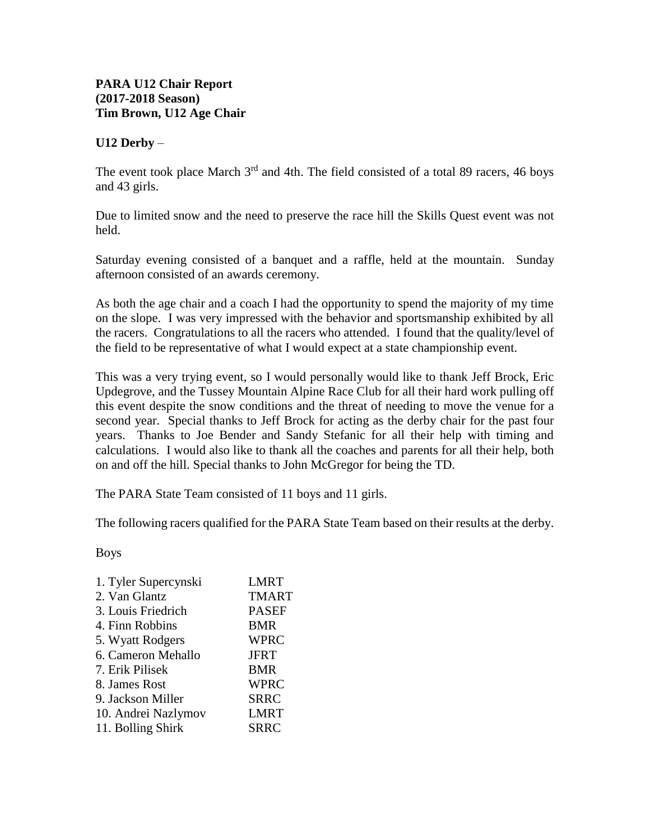## **U12 Derby** –

The event took place March  $3<sup>rd</sup>$  and 4th. The field consisted of a total 89 racers, 46 boys and 43 girls.

Due to limited snow and the need to preserve the race hill the Skills Quest event was not held.

Saturday evening consisted of a banquet and a raffle, held at the mountain. Sunday afternoon consisted of an awards ceremony.

As both the age chair and a coach I had the opportunity to spend the majority of my time on the slope. I was very impressed with the behavior and sportsmanship exhibited by all the racers. Congratulations to all the racers who attended. I found that the quality/level of the field to be representative of what I would expect at a state championship event.

This was a very trying event, so I would personally would like to thank Jeff Brock, Eric Updegrove, and the Tussey Mountain Alpine Race Club for all their hard work pulling off this event despite the snow conditions and the threat of needing to move the venue for a second year. Special thanks to Jeff Brock for acting as the derby chair for the past four years. Thanks to Joe Bender and Sandy Stefanic for all their help with timing and calculations. I would also like to thank all the coaches and parents for all their help, both on and off the hill. Special thanks to John McGregor for being the TD.

The PARA State Team consisted of 11 boys and 11 girls.

The following racers qualified for the PARA State Team based on their results at the derby.

Boys

| <b>LMRT</b>  |
|--------------|
| <b>TMART</b> |
| <b>PASEF</b> |
| BMR          |
| <b>WPRC</b>  |
| <b>JFRT</b>  |
| <b>BMR</b>   |
| <b>WPRC</b>  |
| <b>SRRC</b>  |
| <b>LMRT</b>  |
| <b>SRRC</b>  |
|              |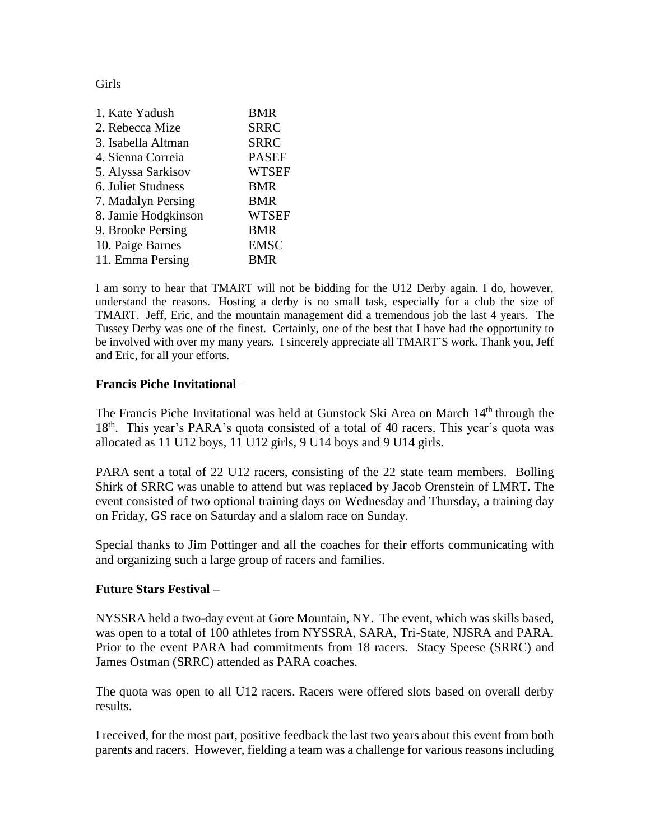## Girls

| 1. Kate Yadush      | <b>BMR</b>   |
|---------------------|--------------|
| 2. Rebecca Mize     | <b>SRRC</b>  |
| 3. Isabella Altman  | <b>SRRC</b>  |
| 4. Sienna Correia   | <b>PASEF</b> |
| 5. Alyssa Sarkisov  | <b>WTSEF</b> |
| 6. Juliet Studness  | <b>BMR</b>   |
| 7. Madalyn Persing  | <b>BMR</b>   |
| 8. Jamie Hodgkinson | <b>WTSEF</b> |
| 9. Brooke Persing   | <b>BMR</b>   |
| 10. Paige Barnes    | <b>EMSC</b>  |
| 11. Emma Persing    | BMR          |
|                     |              |

I am sorry to hear that TMART will not be bidding for the U12 Derby again. I do, however, understand the reasons. Hosting a derby is no small task, especially for a club the size of TMART. Jeff, Eric, and the mountain management did a tremendous job the last 4 years. The Tussey Derby was one of the finest. Certainly, one of the best that I have had the opportunity to be involved with over my many years. I sincerely appreciate all TMART'S work. Thank you, Jeff and Eric, for all your efforts.

## **Francis Piche Invitational** –

The Francis Piche Invitational was held at Gunstock Ski Area on March 14<sup>th</sup> through the 18<sup>th</sup>. This year's PARA's quota consisted of a total of 40 racers. This year's quota was allocated as 11 U12 boys, 11 U12 girls, 9 U14 boys and 9 U14 girls.

PARA sent a total of 22 U12 racers, consisting of the 22 state team members. Bolling Shirk of SRRC was unable to attend but was replaced by Jacob Orenstein of LMRT. The event consisted of two optional training days on Wednesday and Thursday, a training day on Friday, GS race on Saturday and a slalom race on Sunday.

Special thanks to Jim Pottinger and all the coaches for their efforts communicating with and organizing such a large group of racers and families.

## **Future Stars Festival –**

NYSSRA held a two-day event at Gore Mountain, NY. The event, which was skills based, was open to a total of 100 athletes from NYSSRA, SARA, Tri-State, NJSRA and PARA. Prior to the event PARA had commitments from 18 racers. Stacy Speese (SRRC) and James Ostman (SRRC) attended as PARA coaches.

The quota was open to all U12 racers. Racers were offered slots based on overall derby results.

I received, for the most part, positive feedback the last two years about this event from both parents and racers. However, fielding a team was a challenge for various reasons including